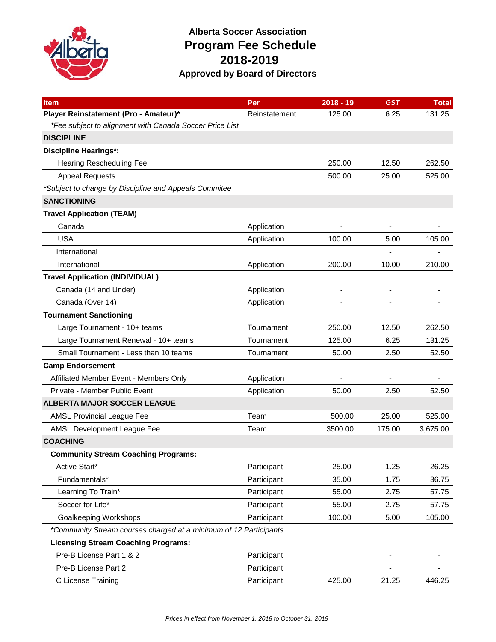

## **Alberta Soccer Association Program Fee Schedule 2018-2019 Approved by Board of Directors**

| <b>Item</b>                                                       | Per           | $2018 - 19$              | <b>GST</b> | <b>Total</b> |
|-------------------------------------------------------------------|---------------|--------------------------|------------|--------------|
| Player Reinstatement (Pro - Amateur)*                             | Reinstatement | 125.00                   | 6.25       | 131.25       |
| *Fee subject to alignment with Canada Soccer Price List           |               |                          |            |              |
| <b>DISCIPLINE</b>                                                 |               |                          |            |              |
| <b>Discipline Hearings*:</b>                                      |               |                          |            |              |
| <b>Hearing Rescheduling Fee</b>                                   |               | 250.00                   | 12.50      | 262.50       |
| <b>Appeal Requests</b>                                            |               | 500.00                   | 25.00      | 525.00       |
| *Subject to change by Discipline and Appeals Commitee             |               |                          |            |              |
| <b>SANCTIONING</b>                                                |               |                          |            |              |
| <b>Travel Application (TEAM)</b>                                  |               |                          |            |              |
| Canada                                                            | Application   |                          |            |              |
| <b>USA</b>                                                        | Application   | 100.00                   | 5.00       | 105.00       |
| International                                                     |               |                          |            |              |
| International                                                     | Application   | 200.00                   | 10.00      | 210.00       |
| <b>Travel Application (INDIVIDUAL)</b>                            |               |                          |            |              |
| Canada (14 and Under)                                             | Application   | $\overline{\phantom{a}}$ |            |              |
| Canada (Over 14)                                                  | Application   |                          |            |              |
| <b>Tournament Sanctioning</b>                                     |               |                          |            |              |
| Large Tournament - 10+ teams                                      | Tournament    | 250.00                   | 12.50      | 262.50       |
| Large Tournament Renewal - 10+ teams                              | Tournament    | 125.00                   | 6.25       | 131.25       |
| Small Tournament - Less than 10 teams                             | Tournament    | 50.00                    | 2.50       | 52.50        |
| <b>Camp Endorsement</b>                                           |               |                          |            |              |
| Affiliated Member Event - Members Only                            | Application   |                          |            |              |
| Private - Member Public Event                                     | Application   | 50.00                    | 2.50       | 52.50        |
| <b>ALBERTA MAJOR SOCCER LEAGUE</b>                                |               |                          |            |              |
| <b>AMSL Provincial League Fee</b>                                 | Team          | 500.00                   | 25.00      | 525.00       |
| AMSL Development League Fee                                       | Team          | 3500.00                  | 175.00     | 3,675.00     |
| <b>COACHING</b>                                                   |               |                          |            |              |
| <b>Community Stream Coaching Programs:</b>                        |               |                          |            |              |
| Active Start*                                                     | Participant   | 25.00                    | 1.25       | 26.25        |
| Fundamentals*                                                     | Participant   | 35.00                    | 1.75       | 36.75        |
| Learning To Train*                                                | Participant   | 55.00                    | 2.75       | 57.75        |
| Soccer for Life*                                                  | Participant   | 55.00                    | 2.75       | 57.75        |
| <b>Goalkeeping Workshops</b>                                      | Participant   | 100.00                   | 5.00       | 105.00       |
| *Community Stream courses charged at a minimum of 12 Participants |               |                          |            |              |
| <b>Licensing Stream Coaching Programs:</b>                        |               |                          |            |              |
| Pre-B License Part 1 & 2                                          | Participant   |                          |            |              |
| Pre-B License Part 2                                              | Participant   |                          |            |              |
| C License Training                                                | Participant   | 425.00                   | 21.25      | 446.25       |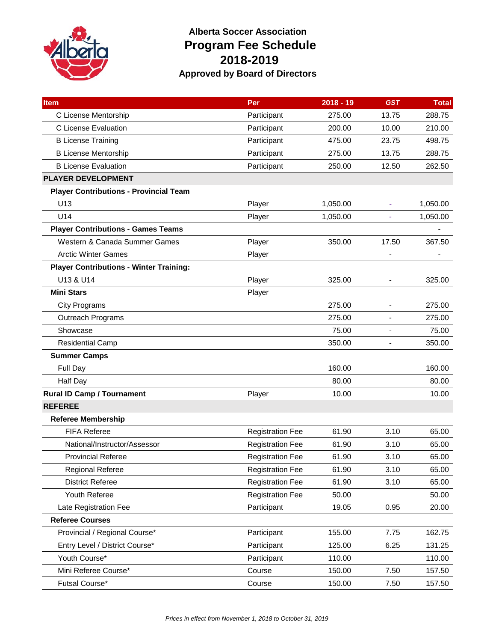

## **Alberta Soccer Association Program Fee Schedule 2018-2019 Approved by Board of Directors**

| <b>Item</b>                                    | Per                     | $2018 - 19$ | <b>GST</b> | <b>Total</b> |
|------------------------------------------------|-------------------------|-------------|------------|--------------|
| C License Mentorship                           | Participant             | 275.00      | 13.75      | 288.75       |
| C License Evaluation                           | Participant             | 200.00      | 10.00      | 210.00       |
| <b>B License Training</b>                      | Participant             | 475.00      | 23.75      | 498.75       |
| <b>B License Mentorship</b>                    | Participant             | 275.00      | 13.75      | 288.75       |
| <b>B License Evaluation</b>                    | Participant             | 250.00      | 12.50      | 262.50       |
| <b>PLAYER DEVELOPMENT</b>                      |                         |             |            |              |
| <b>Player Contributions - Provincial Team</b>  |                         |             |            |              |
| U13                                            | Player                  | 1,050.00    | ÷          | 1,050.00     |
| U <sub>14</sub>                                | Player                  | 1,050.00    |            | 1,050.00     |
| <b>Player Contributions - Games Teams</b>      |                         |             |            |              |
| Western & Canada Summer Games                  | Player                  | 350.00      | 17.50      | 367.50       |
| <b>Arctic Winter Games</b>                     | Player                  |             |            |              |
| <b>Player Contributions - Winter Training:</b> |                         |             |            |              |
| U13 & U14                                      | Player                  | 325.00      |            | 325.00       |
| <b>Mini Stars</b>                              | Player                  |             |            |              |
| <b>City Programs</b>                           |                         | 275.00      |            | 275.00       |
| Outreach Programs                              |                         | 275.00      |            | 275.00       |
| Showcase                                       |                         | 75.00       |            | 75.00        |
| <b>Residential Camp</b>                        |                         | 350.00      |            | 350.00       |
| <b>Summer Camps</b>                            |                         |             |            |              |
| Full Day                                       |                         | 160.00      |            | 160.00       |
| Half Day                                       |                         | 80.00       |            | 80.00        |
| <b>Rural ID Camp / Tournament</b>              | Player                  | 10.00       |            | 10.00        |
| <b>REFEREE</b>                                 |                         |             |            |              |
| <b>Referee Membership</b>                      |                         |             |            |              |
| <b>FIFA Referee</b>                            | <b>Registration Fee</b> | 61.90       | 3.10       | 65.00        |
| National/Instructor/Assessor                   | <b>Registration Fee</b> | 61.90       | 3.10       | 65.00        |
| <b>Provincial Referee</b>                      | <b>Registration Fee</b> | 61.90       | 3.10       | 65.00        |
| <b>Regional Referee</b>                        | <b>Registration Fee</b> | 61.90       | 3.10       | 65.00        |
| <b>District Referee</b>                        | <b>Registration Fee</b> | 61.90       | 3.10       | 65.00        |
| Youth Referee                                  | <b>Registration Fee</b> | 50.00       |            | 50.00        |
| Late Registration Fee                          | Participant             | 19.05       | 0.95       | 20.00        |
| <b>Referee Courses</b>                         |                         |             |            |              |
| Provincial / Regional Course*                  | Participant             | 155.00      | 7.75       | 162.75       |
| Entry Level / District Course*                 | Participant             | 125.00      | 6.25       | 131.25       |
| Youth Course*                                  | Participant             | 110.00      |            | 110.00       |
| Mini Referee Course*                           | Course                  | 150.00      | 7.50       | 157.50       |
| Futsal Course*                                 | Course                  | 150.00      | 7.50       | 157.50       |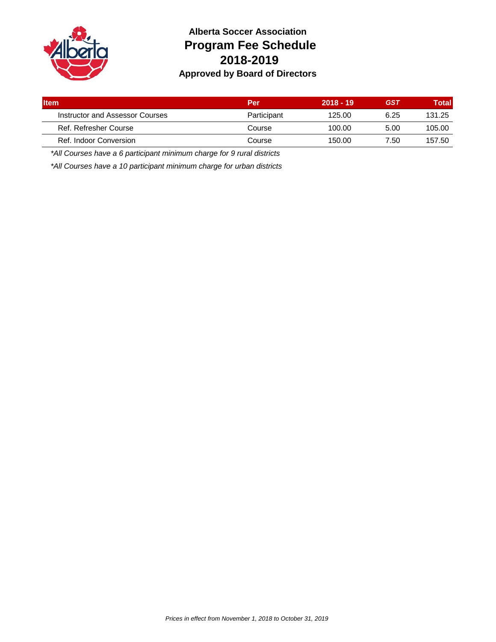

## **Alberta Soccer Association Program Fee Schedule 2018-2019 Approved by Board of Directors**

| <b>I</b> tem                    | Per         | $2018 - 19$ | <b>GST</b> | Total  |
|---------------------------------|-------------|-------------|------------|--------|
| Instructor and Assessor Courses | Participant | 125.00      | 6.25       | 131.25 |
| Ref. Refresher Course           | Course      | 100.00      | 5.00       | 105.00 |
| Ref. Indoor Conversion          | Course      | 150.00      | 7.50       | 157.50 |
|                                 |             |             |            |        |

*\*All Courses have a 6 participant minimum charge for 9 rural districts*

*\*All Courses have a 10 participant minimum charge for urban districts*